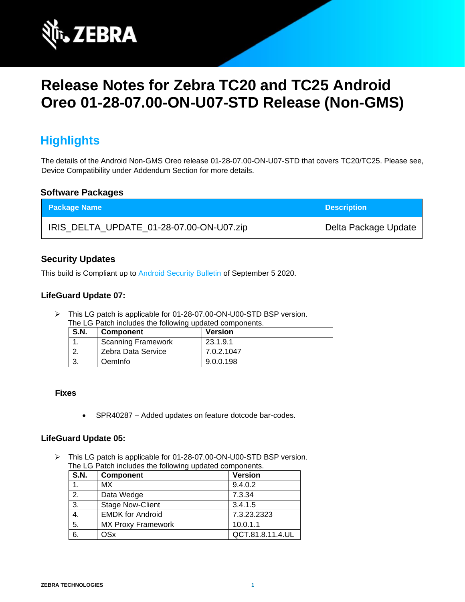

# **Release Notes for Zebra TC20 and TC25 Android Oreo 01-28-07.00-ON-U07-STD Release (Non-GMS)**

# **Highlights**

The details of the Android Non-GMS Oreo release 01-28-07.00-ON-U07-STD that covers TC20/TC25. Please see, Device Compatibility under Addendum Section for more details.

### **Software Packages**

| <b>Package Name</b>                      | <b>Description</b>   |
|------------------------------------------|----------------------|
| IRIS_DELTA_UPDATE_01-28-07.00-ON-U07.zip | Delta Package Update |

### **Security Updates**

This build is Compliant up to [Android Security Bulletin](https://source.android.com/security/bulletin/) of September 5 2020.

### **LifeGuard Update 07:**

➢ This LG patch is applicable for 01-28-07.00-ON-U00-STD BSP version. The LG Patch includes the following updated components.

| <b>S.N.</b> | <b>Component</b>          | <b>Version</b> |
|-------------|---------------------------|----------------|
|             | <b>Scanning Framework</b> | 23.1.9.1       |
|             | Zebra Data Service        | 7.0.2.1047     |
|             | <b>Oemlnfo</b>            | 9.0.0.198      |

### **Fixes**

• SPR40287 – Added updates on feature dotcode bar-codes.

### **LifeGuard Update 05:**

➢ This LG patch is applicable for 01-28-07.00-ON-U00-STD BSP version. The LG Patch includes the following updated components.

| <b>S.N.</b> | <b>Component</b>          | <b>Version</b>   |
|-------------|---------------------------|------------------|
|             | <b>MX</b>                 | 9.4.0.2          |
| 2.          | Data Wedge                | 7.3.34           |
| 3.          | <b>Stage Now-Client</b>   | 3.4.1.5          |
| 4.          | <b>EMDK for Android</b>   | 7.3.23.2323      |
| 5.          | <b>MX Proxy Framework</b> | 10.0.1.1         |
| 6.          | OSx                       | QCT.81.8.11.4.UL |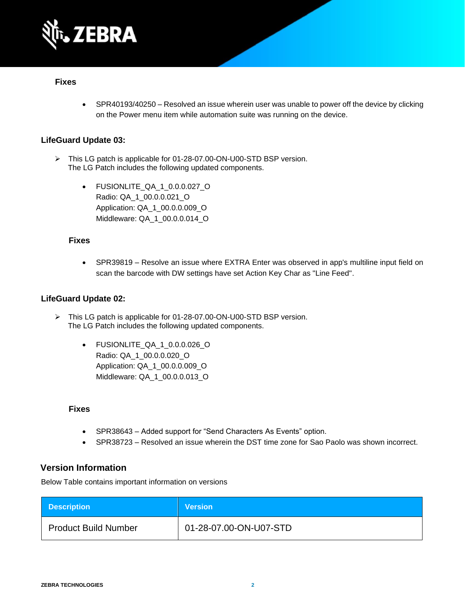

### **Fixes**

• SPR40193/40250 – Resolved an issue wherein user was unable to power off the device by clicking on the Power menu item while automation suite was running on the device.

### **LifeGuard Update 03:**

- ➢ This LG patch is applicable for 01-28-07.00-ON-U00-STD BSP version. The LG Patch includes the following updated components.
	- FUSIONLITE QA 1 0.0.0.027 O Radio: QA\_1\_00.0.0.021\_O Application: QA\_1\_00.0.0.009\_O Middleware: QA\_1\_00.0.0.014\_O

#### **Fixes**

• SPR39819 – Resolve an issue where EXTRA Enter was observed in app's multiline input field on scan the barcode with DW settings have set Action Key Char as "Line Feed".

### **LifeGuard Update 02:**

- ➢ This LG patch is applicable for 01-28-07.00-ON-U00-STD BSP version. The LG Patch includes the following updated components.
	- FUSIONLITE\_QA\_1\_0.0.0.026\_O Radio: QA\_1\_00.0.0.020\_O Application: QA\_1\_00.0.0.009\_O Middleware: QA\_1\_00.0.0.013\_O

#### **Fixes**

- SPR38643 Added support for "Send Characters As Events" option.
- SPR38723 Resolved an issue wherein the DST time zone for Sao Paolo was shown incorrect.

### **Version Information**

Below Table contains important information on versions

| <b>Description</b>          | <b>Version</b>         |
|-----------------------------|------------------------|
| <b>Product Build Number</b> | 01-28-07.00-ON-U07-STD |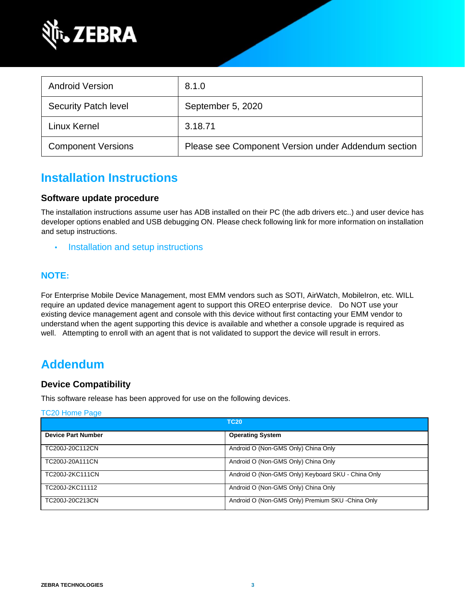

| <b>Android Version</b>      | 8.1.0                                               |
|-----------------------------|-----------------------------------------------------|
| <b>Security Patch level</b> | September 5, 2020                                   |
| Linux Kernel                | 3.18.71                                             |
| <b>Component Versions</b>   | Please see Component Version under Addendum section |

### **Installation Instructions**

### **Software update procedure**

The installation instructions assume user has ADB installed on their PC (the adb drivers etc..) and user device has developer options enabled and USB debugging ON. Please check following link for more information on installation and setup instructions.

• [Installation and setup instructions](https://www.zebra.com/content/dam/zebra_new_ia/en-us/software/operating-system/tc20-operating-system/Android-O-OS-Update-TC20-and-TC25-NGMS.pdf)

### **NOTE:**

For Enterprise Mobile Device Management, most EMM vendors such as SOTI, AirWatch, MobileIron, etc. WILL require an updated device management agent to support this OREO enterprise device. Do NOT use your existing device management agent and console with this device without first contacting your EMM vendor to understand when the agent supporting this device is available and whether a console upgrade is required as well. Attempting to enroll with an agent that is not validated to support the device will result in errors.

### **Addendum**

### **Device Compatibility**

This software release has been approved for use on the following devices.

# [TC20 Home Page](https://www.zebra.com/us/en/support-downloads/software/operating-system/tc20-operating-system-non-gms.html) **TC20 Device Part Number Device Part Number Operating System** TC200J-20C112CN Android O (Non-GMS Only) China Only TC200J-20A111CN Android O (Non-GMS Only) China Only TC200J-2KC111CN Android O (Non-GMS Only) Keyboard SKU - China Only TC200J-2KC11112 **Android O (Non-GMS Only)** China Only TC200J-20C213CN Android O (Non-GMS Only) Premium SKU -China Only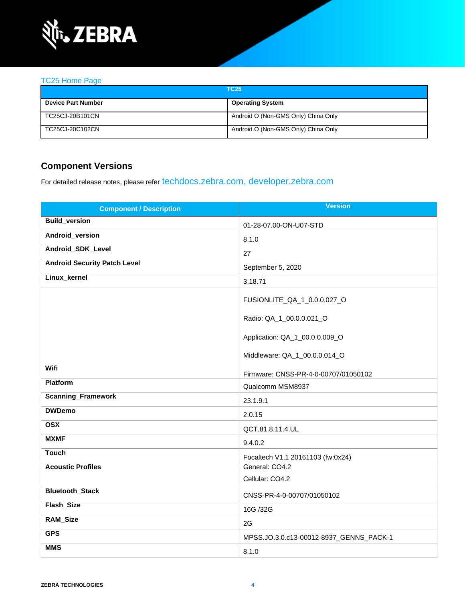

### [TC25 Home Page](https://www.zebra.com/us/en/support-downloads/software/operating-system/tc25-operating-system-non-gms.html)

| <b>TC25</b>               |                                     |
|---------------------------|-------------------------------------|
| <b>Device Part Number</b> | <b>Operating System</b>             |
| TC25CJ-20B101CN           | Android O (Non-GMS Only) China Only |
| TC25CJ-20C102CN           | Android O (Non-GMS Only) China Only |

### **Component Versions**

For detailed release notes, please refer [techdocs.zebra.com,](https://techdocs.zebra.com/) [developer.zebra.com](https://developer.zebra.com/)

| <b>Component / Description</b>      | <b>Version</b>                          |
|-------------------------------------|-----------------------------------------|
| <b>Build_version</b>                | 01-28-07.00-ON-U07-STD                  |
| Android_version                     | 8.1.0                                   |
| Android_SDK_Level                   | 27                                      |
| <b>Android Security Patch Level</b> | September 5, 2020                       |
| Linux_kernel                        | 3.18.71                                 |
|                                     | FUSIONLITE_QA_1_0.0.0.027_O             |
|                                     | Radio: QA_1_00.0.0.021_O                |
|                                     | Application: QA_1_00.0.0.009_O          |
|                                     | Middleware: QA_1_00.0.0.014_O           |
| Wifi                                | Firmware: CNSS-PR-4-0-00707/01050102    |
| Platform                            | Qualcomm MSM8937                        |
| <b>Scanning_Framework</b>           | 23.1.9.1                                |
| <b>DWDemo</b>                       | 2.0.15                                  |
| <b>OSX</b>                          | QCT.81.8.11.4.UL                        |
| <b>MXMF</b>                         | 9.4.0.2                                 |
| <b>Touch</b>                        | Focaltech V1.1 20161103 (fw:0x24)       |
| <b>Acoustic Profiles</b>            | General: CO4.2                          |
|                                     | Cellular: CO4.2                         |
| <b>Bluetooth_Stack</b>              | CNSS-PR-4-0-00707/01050102              |
| Flash_Size                          | 16G /32G                                |
| <b>RAM_Size</b>                     | 2G                                      |
| <b>GPS</b>                          | MPSS.JO.3.0.c13-00012-8937_GENNS_PACK-1 |
| <b>MMS</b>                          | 8.1.0                                   |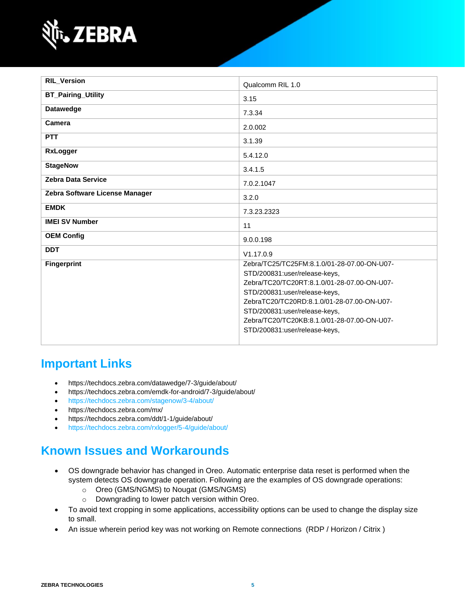

| <b>RIL_Version</b>             | Qualcomm RIL 1.0                                                                                                                                                                                                                                                                                                            |
|--------------------------------|-----------------------------------------------------------------------------------------------------------------------------------------------------------------------------------------------------------------------------------------------------------------------------------------------------------------------------|
| <b>BT_Pairing_Utility</b>      | 3.15                                                                                                                                                                                                                                                                                                                        |
| <b>Datawedge</b>               | 7.3.34                                                                                                                                                                                                                                                                                                                      |
| Camera                         | 2.0.002                                                                                                                                                                                                                                                                                                                     |
| <b>PTT</b>                     | 3.1.39                                                                                                                                                                                                                                                                                                                      |
| <b>RxLogger</b>                | 5.4.12.0                                                                                                                                                                                                                                                                                                                    |
| <b>StageNow</b>                | 3.4.1.5                                                                                                                                                                                                                                                                                                                     |
| <b>Zebra Data Service</b>      | 7.0.2.1047                                                                                                                                                                                                                                                                                                                  |
| Zebra Software License Manager | 3.2.0                                                                                                                                                                                                                                                                                                                       |
| <b>EMDK</b>                    | 7.3.23.2323                                                                                                                                                                                                                                                                                                                 |
| <b>IMEI SV Number</b>          | 11                                                                                                                                                                                                                                                                                                                          |
| <b>OEM Config</b>              | 9.0.0.198                                                                                                                                                                                                                                                                                                                   |
| <b>DDT</b>                     | V1.17.0.9                                                                                                                                                                                                                                                                                                                   |
| <b>Fingerprint</b>             | Zebra/TC25/TC25FM:8.1.0/01-28-07.00-ON-U07-<br>STD/200831:user/release-keys,<br>Zebra/TC20/TC20RT:8.1.0/01-28-07.00-ON-U07-<br>STD/200831:user/release-keys,<br>ZebraTC20/TC20RD:8.1.0/01-28-07.00-ON-U07-<br>STD/200831:user/release-keys,<br>Zebra/TC20/TC20KB:8.1.0/01-28-07.00-ON-U07-<br>STD/200831:user/release-keys, |

# **Important Links**

- <https://techdocs.zebra.com/datawedge/7-3/guide/about/>
- <https://techdocs.zebra.com/emdk-for-android/7-3/guide/about/>
- <https://techdocs.zebra.com/stagenow/3-4/about/>
- <https://techdocs.zebra.com/mx/>
- <https://techdocs.zebra.com/ddt/1-1/guide/about/>
- <https://techdocs.zebra.com/rxlogger/5-4/guide/about/>

## **Known Issues and Workarounds**

- OS downgrade behavior has changed in Oreo. Automatic enterprise data reset is performed when the system detects OS downgrade operation. Following are the examples of OS downgrade operations:
	- o Oreo (GMS/NGMS) to Nougat (GMS/NGMS)
	- o Downgrading to lower patch version within Oreo.
- To avoid text cropping in some applications, accessibility options can be used to change the display size to small.
- An issue wherein period key was not working on Remote connections (RDP / Horizon / Citrix )